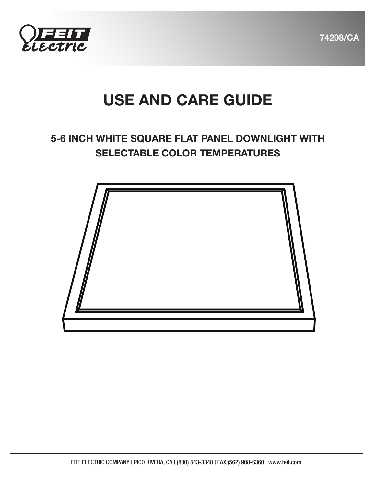

74208/CA

# USE AND CARE GUIDE

## 5-6 INCH WHITE SQUARE FLAT PANEL DOWNLIGHT WITH SELECTABLE COLOR TEMPERATURES

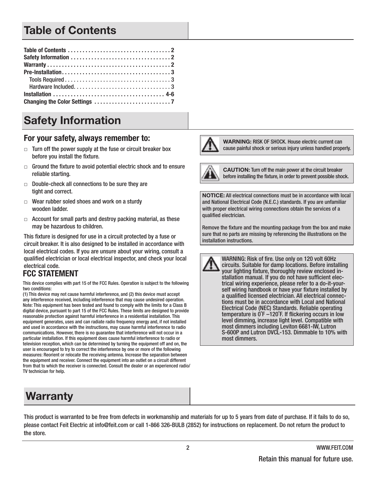# Table of Contents

# Safety Information

#### For your safety, always remember to:

- $\Box$  Turn off the power supply at the fuse or circuit breaker box before you install the fixture.
- $\Box$  Ground the fixture to avoid potential electric shock and to ensure reliable starting.
- $\Box$  Double-check all connections to be sure they are tight and correct.
- $\Box$  Wear rubber soled shoes and work on a sturdy wooden ladder.
- $\Box$  Account for small parts and destroy packing material, as these may be hazardous to children.

This fixture is designed for use in a circuit protected by a fuse or circuit breaker. It is also designed to be installed in accordance with local electrical codes. If you are unsure about your wiring, consult a qualified electrician or local electrical inspector, and check your local electrical code.

#### **FCC STATEMENT**

This device complies with part 15 of the FCC Rules. Operation is subject to the following two conditions:

(1) This device may not cause harmful interference, and (2) this device must accept any interference received, including interference that may cause undesired operation. Note: This equipment has been tested and found to comply with the limits for a Class B digital device, pursuant to part 15 of the FCC Rules. These limits are designed to provide reasonable protection against harmful interference in a residential installation. This equipment generates, uses and can radiate radio frequency energy and, if not installed and used in accordance with the instructions, may cause harmful interference to radio communications. However, there is no guarantee that interference will not occur in a particular installation. If this equipment does cause harmful interference to radio or television reception, which can be determined by turning the equipment off and on, the user is encouraged to try to correct the interference by one or more of the following measures: Reorient or relocate the receiving antenna. Increase the separation between the equipment and receiver. Connect the equipment into an outlet on a circuit different from that to which the receiver is connected. Consult the dealer or an experienced radio/ TV technician for help.

# Warranty

WARNING: RISK OF SHOCK. House electric current can cause painful shock or serious injury unless handled properly.



CAUTION: Turn off the main power at the circuit breaker before installing the fixture, in order to prevent possible shock.

NOTICE: All electrical connections must be in accordance with local and National Electrical Code (N.E.C.) standards. If you are unfamiliar with proper electrical wiring connections obtain the services of a qualified electrician.

Remove the fixture and the mounting package from the box and make sure that no parts are missing by referencing the illustrations on the installation instructions.

WARNING: Risk of fire. Use only on 120 volt 60Hz circuits. Suitable for damp locations. Before installing your lighting fixture, thoroughly review enclosed installation manual. If you do not have sufficient electrical wiring experience, please refer to a do-it-yourself wiring handbook or have your fixture installed by a qualified licensed electrician. All electrical connections must be in accordance with Local and National Electrical Code (NEC) Standards. Reliable operating temperature is 0˚F –120˚F. If flickering occurs in low level dimming, increase light level. Compatible with most dimmers including Leviton 6681-IW, Lutron S-600P and Lutron DVCL-153. Dimmable to 10% with most dimmers.

This product is warranted to be free from defects in workmanship and materials for up to 5 years from date of purchase. If it fails to do so, please contact Feit Electric at info@feit.com or call 1-866 326-BULB (2852) for instructions on replacement. Do not return the product to the store.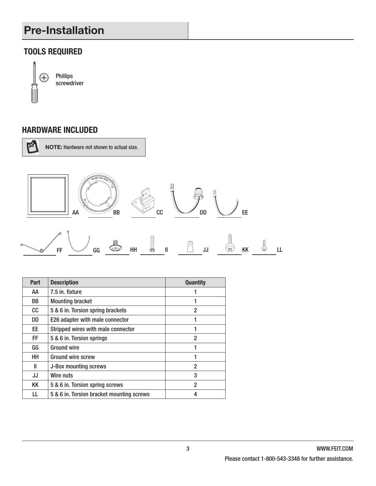# Pre-Installation

#### **TOOLS REQUIRED**



Phillips screwdriver

#### **HARDWARE INCLUDED**



NOTE: Hardware not shown to actual size.



| <b>Part</b> | <b>Description</b>                        | <b>Quantity</b> |
|-------------|-------------------------------------------|-----------------|
| AA          | 7.5 in. fixture                           |                 |
| BB          | <b>Mounting bracket</b>                   |                 |
| cc          | 5 & 6 in. Torsion spring brackets         | 2               |
| DD          | E26 adapter with male connector           |                 |
| EE.         | Stripped wires with male connector        |                 |
| FF.         | 5 & 6 in. Torsion springs                 | 2               |
| GG          | <b>Ground wire</b>                        |                 |
| HH          | <b>Ground wire screw</b>                  |                 |
| Ш           | J-Box mounting screws                     | 2               |
| JJ          | Wire nuts                                 | 3               |
| KK          | 5 & 6 in. Torsion spring screws           | 2               |
| LL          | 5 & 6 in. Torsion bracket mounting screws | 4               |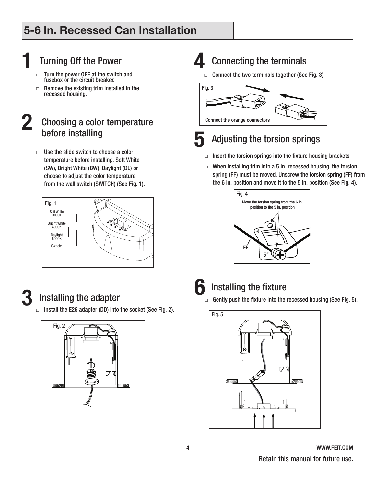# **1** Turning Off the Power

- Turn the power OFF at the switch and fusebox or the circuit breaker.
- $\Box$  Remove the existing trim installed in the recessed housing.

#### **2** Choosing a color temperature before installing

 $\Box$  Use the slide switch to choose a color temperature before installing. Soft White (SW), Bright White (BW), Daylight (DL) or choose to adjust the color temperature from the wall switch (SWITCH) (See Fig. 1).





# **3** Installing the adapter

 $\Box$  Install the E26 adapter (DD) into the socket (See Fig. 2).



# **4** Connecting the terminals

 $\Box$  Connect the two terminals together (See Fig. 3)





### **5** Adjusting the torsion springs

- $\Box$  Insert the torsion springs into the fixture housing brackets.
- $\Box$  When installing trim into a 5 in. recessed housing, the torsion spring (FF) must be moved. Unscrew the torsion spring (FF) from the 6 in. position and move it to the 5 in. position (See Fig. 4).





# **6** Installing the fixture

 $\Box$  Gently push the fixture into the recessed housing (See Fig. 5).

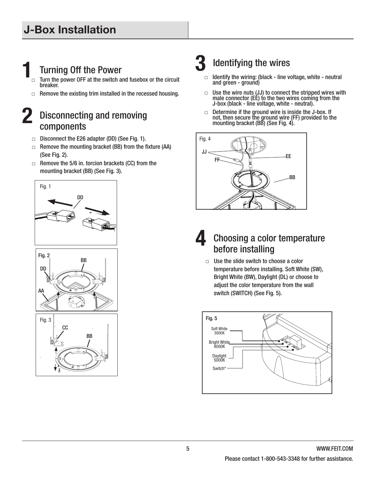# **1** Turning Off the Power

- Turn the power OFF at the switch and fusebox or the circuit breaker.
- $\Box$  Remove the existing trim installed in the recessed housing.

#### **2** Disconnecting and removing components

- □ Disconnect the E26 adapter (DD) (See Fig. 1).
- $\Box$  Remove the mounting bracket (BB) from the fixture (AA) (See Fig. 2).
- $\Box$  Remove the 5/6 in. torcion brackets (CC) from the mounting bracket (BB) (See Fig. 3).







# **3** Identifying the wires<br> $\Box$  Identify the wiring: (black - line w

- Identify the wiring: (black line voltage, white neutral and green - ground)
- $\Box$  Use the wire nuts (JJ) to connect the stripped wires with male connector (EE) to the two wires coming from the J-box (black - line voltage, white - neutral).
- □ Determine if the ground wire is inside the J-box. If not, then secure the ground wire (FF) provided to the mounting bracket (BB) (See Fig. 4).



## **4** Choosing a color temperature before installing

 $\Box$  Use the slide switch to choose a color temperature before installing. Soft White (SW), Bright White (BW), Daylight (DL) or choose to adjust the color temperature from the wall switch (SWITCH) (See Fig. 5).

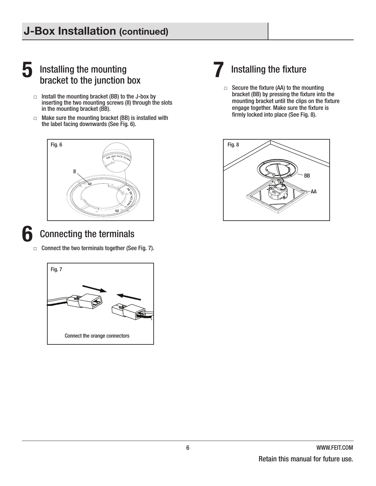# J-Box Installation (continued)

### **5** Installing the mounting bracket to the junction box

- $\Box$  Install the mounting bracket (BB) to the J-box by inserting the two mounting screws (II) through the slots in the mounting bracket (BB).
- $\Box$  Make sure the mounting bracket (BB) is installed with the label facing downwards (See Fig. 6).



#### **6** Connecting the terminals

 $\Box$  Connect the two terminals together (See Fig. 7).



# **7** Installing the fixture

 $\Box$  Secure the fixture (AA) to the mounting bracket (BB) by pressing the fixture into the mounting bracket until the clips on the fixture engage together. Make sure the fixture is firmly locked into place (See Fig. 8).